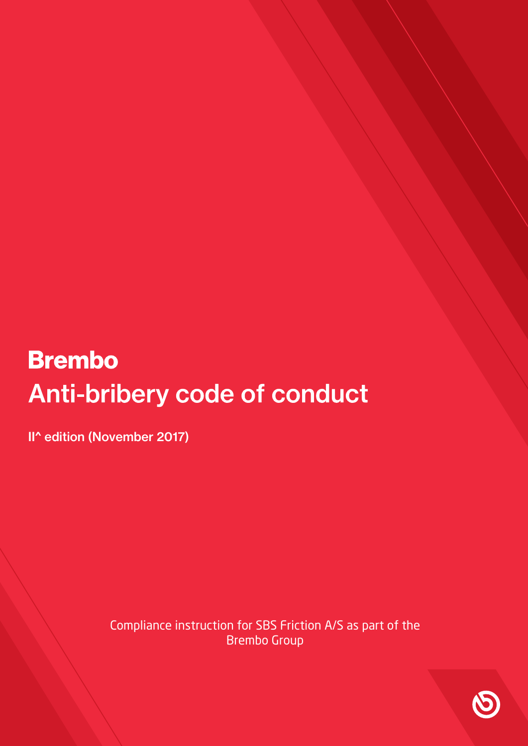# **Brembo** Anti-bribery code of conduct

II^ edition (November 2017)

Compliance instruction for SBS Friction A/S as part of the Brembo Group

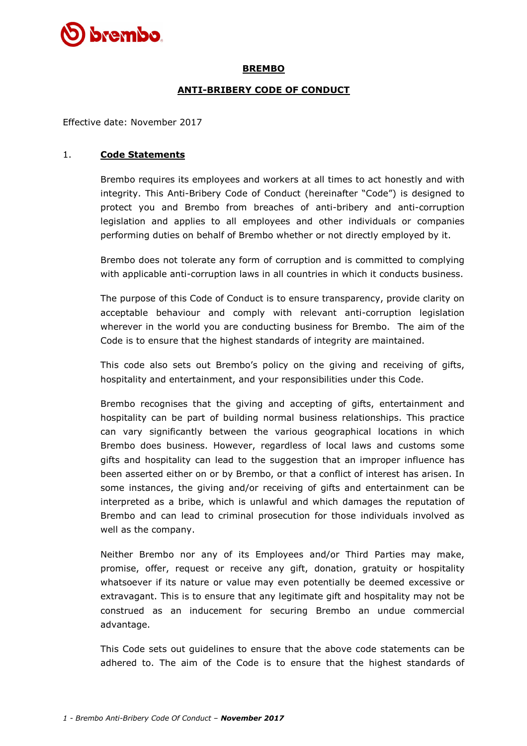

## **BREMBO**

## **ANTI-BRIBERY CODE OF CONDUCT**

Effective date: November 2017

#### 1. **Code Statements**

Brembo requires its employees and workers at all times to act honestly and with integrity. This Anti-Bribery Code of Conduct (hereinafter "Code") is designed to protect you and Brembo from breaches of anti-bribery and anti-corruption legislation and applies to all employees and other individuals or companies performing duties on behalf of Brembo whether or not directly employed by it.

Brembo does not tolerate any form of corruption and is committed to complying with applicable anti-corruption laws in all countries in which it conducts business.

The purpose of this Code of Conduct is to ensure transparency, provide clarity on acceptable behaviour and comply with relevant anti-corruption legislation wherever in the world you are conducting business for Brembo. The aim of the Code is to ensure that the highest standards of integrity are maintained.

This code also sets out Brembo's policy on the giving and receiving of gifts, hospitality and entertainment, and your responsibilities under this Code.

Brembo recognises that the giving and accepting of gifts, entertainment and hospitality can be part of building normal business relationships. This practice can vary significantly between the various geographical locations in which Brembo does business. However, regardless of local laws and customs some gifts and hospitality can lead to the suggestion that an improper influence has been asserted either on or by Brembo, or that a conflict of interest has arisen. In some instances, the giving and/or receiving of gifts and entertainment can be interpreted as a bribe, which is unlawful and which damages the reputation of Brembo and can lead to criminal prosecution for those individuals involved as well as the company.

Neither Brembo nor any of its Employees and/or Third Parties may make, promise, offer, request or receive any gift, donation, gratuity or hospitality whatsoever if its nature or value may even potentially be deemed excessive or extravagant. This is to ensure that any legitimate gift and hospitality may not be construed as an inducement for securing Brembo an undue commercial advantage.

This Code sets out guidelines to ensure that the above code statements can be adhered to. The aim of the Code is to ensure that the highest standards of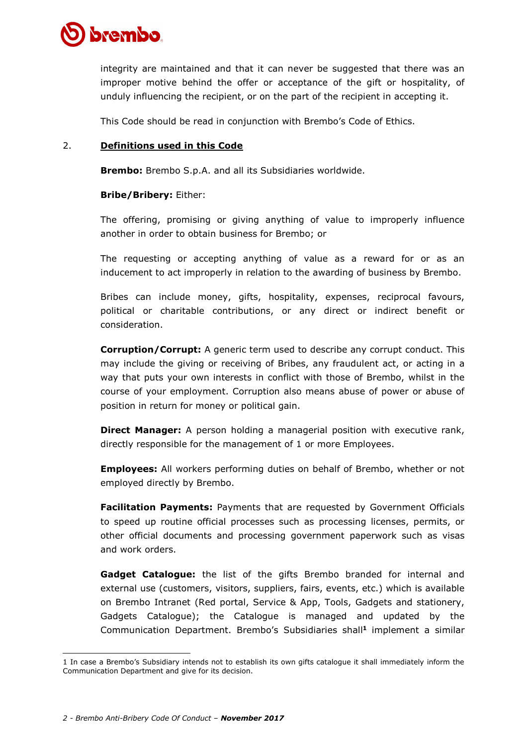

integrity are maintained and that it can never be suggested that there was an improper motive behind the offer or acceptance of the gift or hospitality, of unduly influencing the recipient, or on the part of the recipient in accepting it.

This Code should be read in conjunction with Brembo's Code of Ethics.

### 2. **Definitions used in this Code**

**Brembo:** Brembo S.p.A. and all its Subsidiaries worldwide.

### **Bribe/Bribery:** Either:

The offering, promising or giving anything of value to improperly influence another in order to obtain business for Brembo; or

The requesting or accepting anything of value as a reward for or as an inducement to act improperly in relation to the awarding of business by Brembo.

Bribes can include money, gifts, hospitality, expenses, reciprocal favours, political or charitable contributions, or any direct or indirect benefit or consideration.

**Corruption/Corrupt:** A generic term used to describe any corrupt conduct. This may include the giving or receiving of Bribes, any fraudulent act, or acting in a way that puts your own interests in conflict with those of Brembo, whilst in the course of your employment. Corruption also means abuse of power or abuse of position in return for money or political gain.

**Direct Manager:** A person holding a managerial position with executive rank, directly responsible for the management of 1 or more Employees.

**Employees:** All workers performing duties on behalf of Brembo, whether or not employed directly by Brembo.

**Facilitation Payments:** Payments that are requested by Government Officials to speed up routine official processes such as processing licenses, permits, or other official documents and processing government paperwork such as visas and work orders.

**Gadget Catalogue:** the list of the gifts Brembo branded for internal and external use (customers, visitors, suppliers, fairs, events, etc.) which is available on Brembo Intranet (Red portal, Service & App, Tools, Gadgets and stationery, Gadgets Catalogue); the Catalogue is managed and updated by the Communication Department. Brembo's Subsidiaries shall**<sup>1</sup>** implement a similar

<sup>1</sup> In case a Brembo's Subsidiary intends not to establish its own gifts catalogue it shall immediately inform the Communication Department and give for its decision.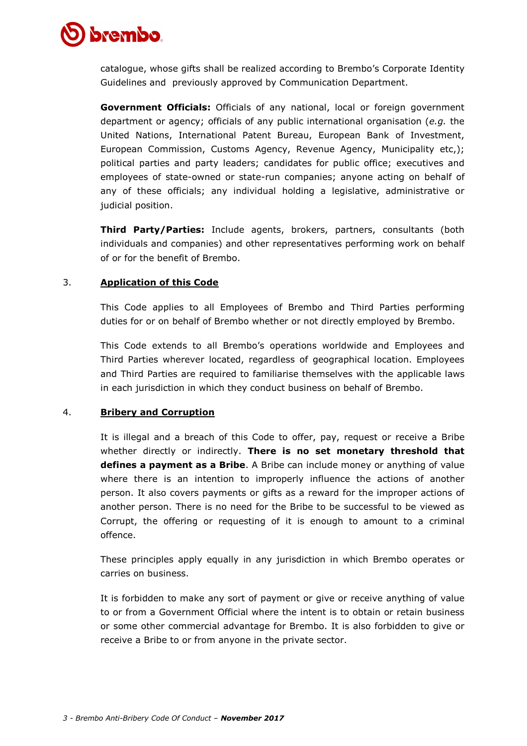

catalogue, whose gifts shall be realized according to Brembo's Corporate Identity Guidelines and previously approved by Communication Department.

**Government Officials:** Officials of any national, local or foreign government department or agency; officials of any public international organisation (*e.g.* the United Nations, International Patent Bureau, European Bank of Investment, European Commission, Customs Agency, Revenue Agency, Municipality etc,); political parties and party leaders; candidates for public office; executives and employees of state-owned or state-run companies; anyone acting on behalf of any of these officials; any individual holding a legislative, administrative or judicial position.

**Third Party/Parties:** Include agents, brokers, partners, consultants (both individuals and companies) and other representatives performing work on behalf of or for the benefit of Brembo.

### 3. **Application of this Code**

This Code applies to all Employees of Brembo and Third Parties performing duties for or on behalf of Brembo whether or not directly employed by Brembo.

This Code extends to all Brembo's operations worldwide and Employees and Third Parties wherever located, regardless of geographical location. Employees and Third Parties are required to familiarise themselves with the applicable laws in each jurisdiction in which they conduct business on behalf of Brembo.

#### 4. **Bribery and Corruption**

It is illegal and a breach of this Code to offer, pay, request or receive a Bribe whether directly or indirectly. **There is no set monetary threshold that defines a payment as a Bribe**. A Bribe can include money or anything of value where there is an intention to improperly influence the actions of another person. It also covers payments or gifts as a reward for the improper actions of another person. There is no need for the Bribe to be successful to be viewed as Corrupt, the offering or requesting of it is enough to amount to a criminal offence.

These principles apply equally in any jurisdiction in which Brembo operates or carries on business.

It is forbidden to make any sort of payment or give or receive anything of value to or from a Government Official where the intent is to obtain or retain business or some other commercial advantage for Brembo. It is also forbidden to give or receive a Bribe to or from anyone in the private sector.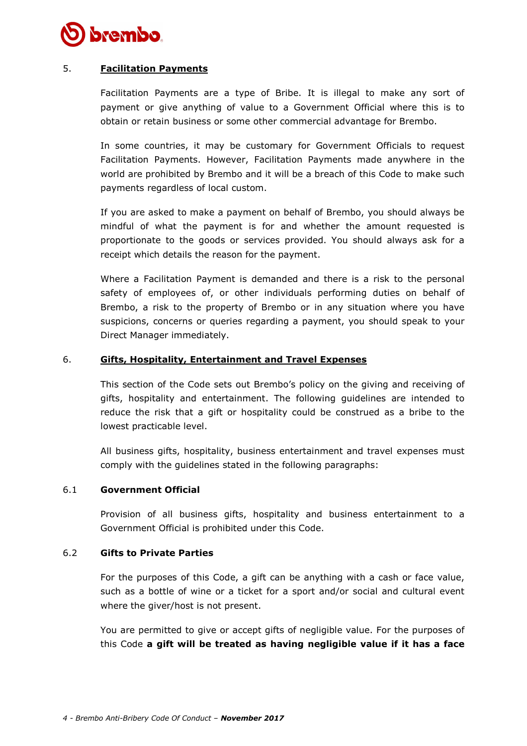

## 5. **Facilitation Payments**

Facilitation Payments are a type of Bribe. It is illegal to make any sort of payment or give anything of value to a Government Official where this is to obtain or retain business or some other commercial advantage for Brembo.

In some countries, it may be customary for Government Officials to request Facilitation Payments. However, Facilitation Payments made anywhere in the world are prohibited by Brembo and it will be a breach of this Code to make such payments regardless of local custom.

If you are asked to make a payment on behalf of Brembo, you should always be mindful of what the payment is for and whether the amount requested is proportionate to the goods or services provided. You should always ask for a receipt which details the reason for the payment.

Where a Facilitation Payment is demanded and there is a risk to the personal safety of employees of, or other individuals performing duties on behalf of Brembo, a risk to the property of Brembo or in any situation where you have suspicions, concerns or queries regarding a payment, you should speak to your Direct Manager immediately.

### 6. **Gifts, Hospitality, Entertainment and Travel Expenses**

This section of the Code sets out Brembo's policy on the giving and receiving of gifts, hospitality and entertainment. The following guidelines are intended to reduce the risk that a gift or hospitality could be construed as a bribe to the lowest practicable level.

All business gifts, hospitality, business entertainment and travel expenses must comply with the guidelines stated in the following paragraphs:

#### 6.1 **Government Official**

Provision of all business gifts, hospitality and business entertainment to a Government Official is prohibited under this Code.

## 6.2 **Gifts to Private Parties**

For the purposes of this Code, a gift can be anything with a cash or face value, such as a bottle of wine or a ticket for a sport and/or social and cultural event where the giver/host is not present.

You are permitted to give or accept gifts of negligible value. For the purposes of this Code **a gift will be treated as having negligible value if it has a face**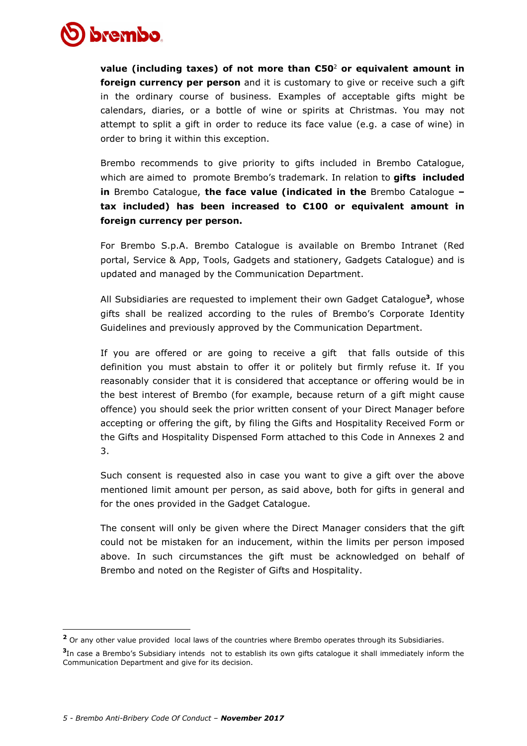

**value (including taxes) of not more than €50**<sup>2</sup> **or equivalent amount in foreign currency per person** and it is customary to give or receive such a gift in the ordinary course of business. Examples of acceptable gifts might be calendars, diaries, or a bottle of wine or spirits at Christmas. You may not attempt to split a gift in order to reduce its face value (e.g. a case of wine) in order to bring it within this exception.

Brembo recommends to give priority to gifts included in Brembo Catalogue, which are aimed to promote Brembo's trademark. In relation to **gifts included in** Brembo Catalogue, **the face value (indicated in the** Brembo Catalogue **– tax included) has been increased to €100 or equivalent amount in foreign currency per person.**

For Brembo S.p.A. Brembo Catalogue is available on Brembo Intranet (Red portal, Service & App, Tools, Gadgets and stationery, Gadgets Catalogue) and is updated and managed by the Communication Department.

All Subsidiaries are requested to implement their own Gadget Catalogue**<sup>3</sup>** , whose gifts shall be realized according to the rules of Brembo's Corporate Identity Guidelines and previously approved by the Communication Department.

If you are offered or are going to receive a gift that falls outside of this definition you must abstain to offer it or politely but firmly refuse it. If you reasonably consider that it is considered that acceptance or offering would be in the best interest of Brembo (for example, because return of a gift might cause offence) you should seek the prior written consent of your Direct Manager before accepting or offering the gift, by filing the Gifts and Hospitality Received Form or the Gifts and Hospitality Dispensed Form attached to this Code in Annexes 2 and 3.

Such consent is requested also in case you want to give a gift over the above mentioned limit amount per person, as said above, both for gifts in general and for the ones provided in the Gadget Catalogue.

The consent will only be given where the Direct Manager considers that the gift could not be mistaken for an inducement, within the limits per person imposed above. In such circumstances the gift must be acknowledged on behalf of Brembo and noted on the Register of Gifts and Hospitality.

<sup>&</sup>lt;sup>2</sup> Or any other value provided local laws of the countries where Brembo operates through its Subsidiaries.

**<sup>3</sup>** In case a Brembo's Subsidiary intends not to establish its own gifts catalogue it shall immediately inform the Communication Department and give for its decision.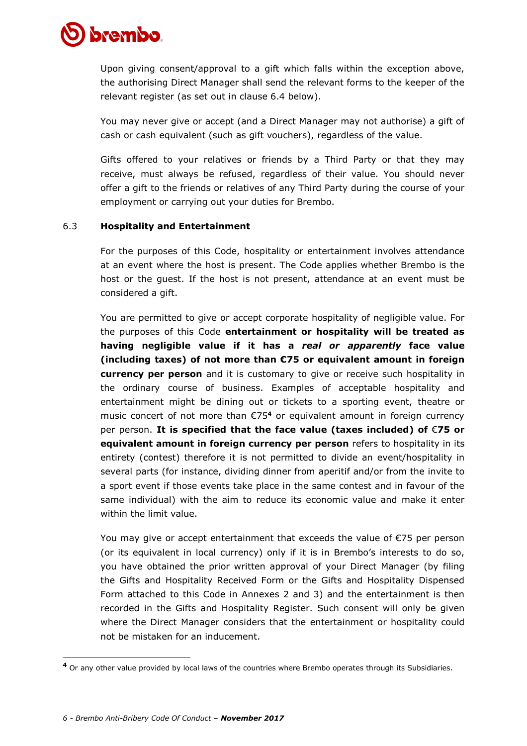

Upon giving consent/approval to a gift which falls within the exception above, the authorising Direct Manager shall send the relevant forms to the keeper of the relevant register (as set out in clause 6.4 below).

You may never give or accept (and a Direct Manager may not authorise) a gift of cash or cash equivalent (such as gift vouchers), regardless of the value.

Gifts offered to your relatives or friends by a Third Party or that they may receive, must always be refused, regardless of their value. You should never offer a gift to the friends or relatives of any Third Party during the course of your employment or carrying out your duties for Brembo.

### 6.3 **Hospitality and Entertainment**

For the purposes of this Code, hospitality or entertainment involves attendance at an event where the host is present. The Code applies whether Brembo is the host or the guest. If the host is not present, attendance at an event must be considered a gift.

You are permitted to give or accept corporate hospitality of negligible value. For the purposes of this Code **entertainment or hospitality will be treated as having negligible value if it has a** *real or apparently* **face value (including taxes) of not more than €75 or equivalent amount in foreign currency per person** and it is customary to give or receive such hospitality in the ordinary course of business. Examples of acceptable hospitality and entertainment might be dining out or tickets to a sporting event, theatre or music concert of not more than €75**<sup>4</sup>** or equivalent amount in foreign currency per person. **It is specified that the face value (taxes included) of** €**75 or equivalent amount in foreign currency per person** refers to hospitality in its entirety (contest) therefore it is not permitted to divide an event/hospitality in several parts (for instance, dividing dinner from aperitif and/or from the invite to a sport event if those events take place in the same contest and in favour of the same individual) with the aim to reduce its economic value and make it enter within the limit value.

You may give or accept entertainment that exceeds the value of €75 per person (or its equivalent in local currency) only if it is in Brembo's interests to do so, you have obtained the prior written approval of your Direct Manager (by filing the Gifts and Hospitality Received Form or the Gifts and Hospitality Dispensed Form attached to this Code in Annexes 2 and 3) and the entertainment is then recorded in the Gifts and Hospitality Register. Such consent will only be given where the Direct Manager considers that the entertainment or hospitality could not be mistaken for an inducement.

**<sup>4</sup>** Or any other value provided by local laws of the countries where Brembo operates through its Subsidiaries.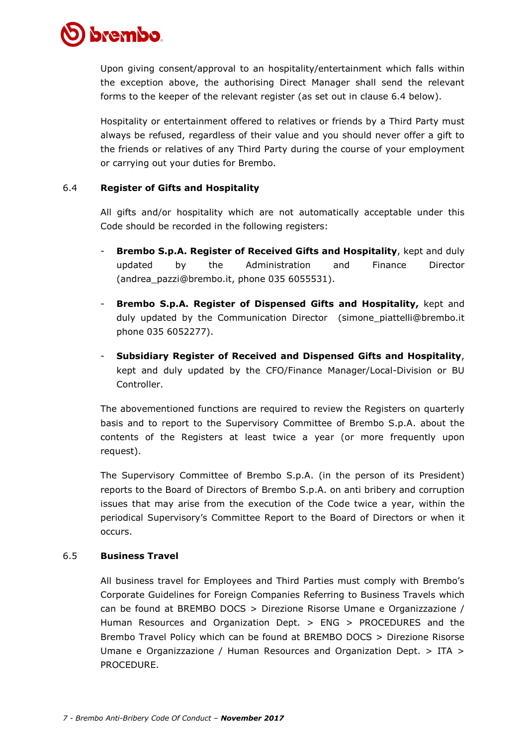

Upon giving consent/approval to an hospitality/entertainment which falls within the exception above, the authorising Direct Manager shall send the relevant forms to the keeper of the relevant register (as set out in clause 6.4 below).

Hospitality or entertainment offered to relatives or friends by a Third Party must always be refused, regardless of their value and you should never offer a gift to the friends or relatives of any Third Party during the course of your employment or carrying out your duties for Brembo.

## 6.4 **Register of Gifts and Hospitality**

All gifts and/or hospitality which are not automatically acceptable under this Code should be recorded in the following registers:

- **Brembo S.p.A. Register of Received Gifts and Hospitality**, kept and duly updated by the Administration and Finance Director (andrea\_pazzi@brembo.it, phone 035 6055531).
- **Brembo S.p.A. Register of Dispensed Gifts and Hospitality,** kept and duly updated by the Communication Director (simone\_piattelli@brembo.it phone 035 6052277).
- **Subsidiary Register of Received and Dispensed Gifts and Hospitality**, kept and duly updated by the CFO/Finance Manager/Local-Division or BU Controller.

The abovementioned functions are required to review the Registers on quarterly basis and to report to the Supervisory Committee of Brembo S.p.A. about the contents of the Registers at least twice a year (or more frequently upon request).

The Supervisory Committee of Brembo S.p.A. (in the person of its President) reports to the Board of Directors of Brembo S.p.A. on anti bribery and corruption issues that may arise from the execution of the Code twice a year, within the periodical Supervisory's Committee Report to the Board of Directors or when it occurs.

## 6.5 **Business Travel**

All business travel for Employees and Third Parties must comply with Brembo's Corporate Guidelines for Foreign Companies Referring to Business Travels which can be found at BREMBO DOCS > Direzione Risorse Umane e Organizzazione / Human Resources and Organization Dept. > ENG > PROCEDURES and the Brembo Travel Policy which can be found at BREMBO DOCS > Direzione Risorse Umane e Organizzazione / Human Resources and Organization Dept. > ITA > PROCEDURE.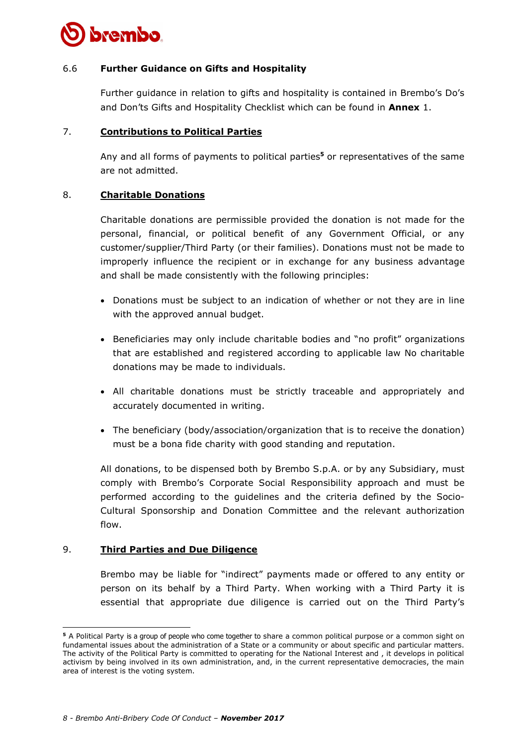

### 6.6 **Further Guidance on Gifts and Hospitality**

Further guidance in relation to gifts and hospitality is contained in Brembo's Do's and Don'ts Gifts and Hospitality Checklist which can be found in **Annex** 1.

### 7. **Contributions to Political Parties**

Any and all forms of payments to political parties**<sup>5</sup>** or representatives of the same are not admitted.

### 8. **Charitable Donations**

Charitable donations are permissible provided the donation is not made for the personal, financial, or political benefit of any Government Official, or any customer/supplier/Third Party (or their families). Donations must not be made to improperly influence the recipient or in exchange for any business advantage and shall be made consistently with the following principles:

- Donations must be subject to an indication of whether or not they are in line with the approved annual budget.
- Beneficiaries may only include charitable bodies and "no profit" organizations that are established and registered according to applicable law No charitable donations may be made to individuals.
- All charitable donations must be strictly traceable and appropriately and accurately documented in writing.
- The beneficiary (body/association/organization that is to receive the donation) must be a bona fide charity with good standing and reputation.

All donations, to be dispensed both by Brembo S.p.A. or by any Subsidiary, must comply with Brembo's Corporate Social Responsibility approach and must be performed according to the guidelines and the criteria defined by the Socio-Cultural Sponsorship and Donation Committee and the relevant authorization flow.

## 9. **Third Parties and Due Diligence**

Brembo may be liable for "indirect" payments made or offered to any entity or person on its behalf by a Third Party. When working with a Third Party it is essential that appropriate due diligence is carried out on the Third Party's

**<sup>5</sup>** A Political Party is a group of people who come together to share a common political purpose or a common sight on fundamental issues about the administration of a State or a community or about specific and particular matters. The activity of the Political Party is committed to operating for the National Interest and , it develops in political activism by being involved in its own administration, and, in the current representative democracies, the main area of interest is the voting system.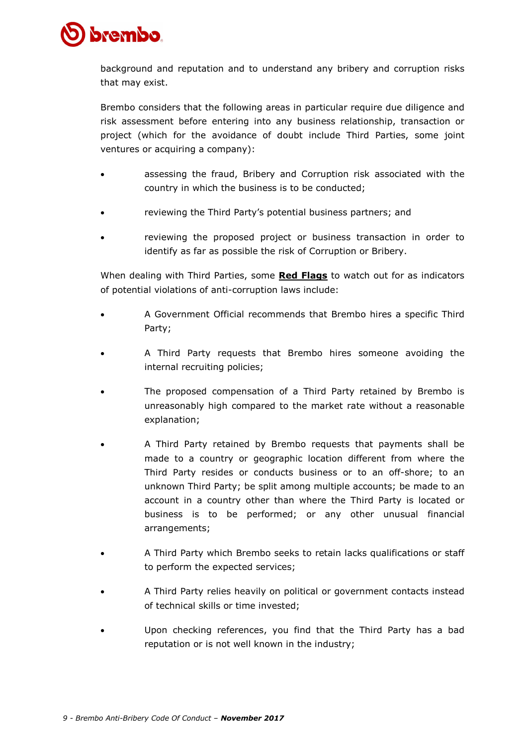

background and reputation and to understand any bribery and corruption risks that may exist.

Brembo considers that the following areas in particular require due diligence and risk assessment before entering into any business relationship, transaction or project (which for the avoidance of doubt include Third Parties, some joint ventures or acquiring a company):

- assessing the fraud, Bribery and Corruption risk associated with the country in which the business is to be conducted;
- reviewing the Third Party's potential business partners; and
- reviewing the proposed project or business transaction in order to identify as far as possible the risk of Corruption or Bribery.

When dealing with Third Parties, some **Red Flags** to watch out for as indicators of potential violations of anti-corruption laws include:

- A Government Official recommends that Brembo hires a specific Third Party;
- A Third Party requests that Brembo hires someone avoiding the internal recruiting policies;
- The proposed compensation of a Third Party retained by Brembo is unreasonably high compared to the market rate without a reasonable explanation;
- A Third Party retained by Brembo requests that payments shall be made to a country or geographic location different from where the Third Party resides or conducts business or to an off-shore; to an unknown Third Party; be split among multiple accounts; be made to an account in a country other than where the Third Party is located or business is to be performed; or any other unusual financial arrangements;
- A Third Party which Brembo seeks to retain lacks qualifications or staff to perform the expected services;
- A Third Party relies heavily on political or government contacts instead of technical skills or time invested;
- Upon checking references, you find that the Third Party has a bad reputation or is not well known in the industry;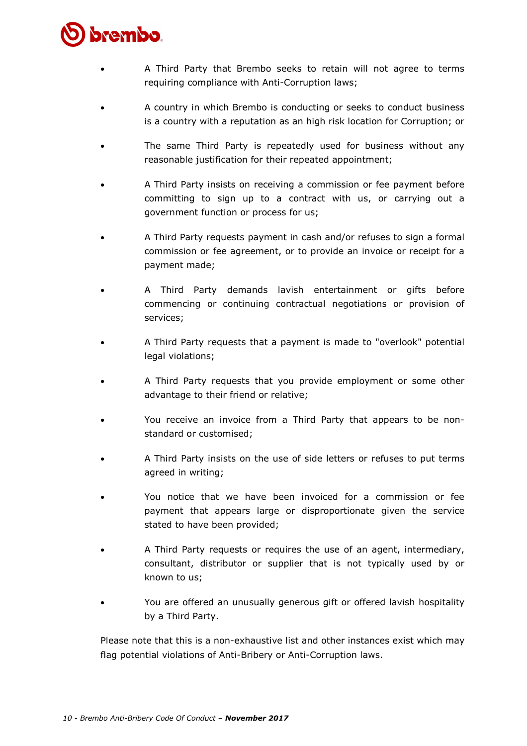

- A Third Party that Brembo seeks to retain will not agree to terms requiring compliance with Anti-Corruption laws;
- A country in which Brembo is conducting or seeks to conduct business is a country with a reputation as an high risk location for Corruption; or
- The same Third Party is repeatedly used for business without any reasonable justification for their repeated appointment;
- A Third Party insists on receiving a commission or fee payment before committing to sign up to a contract with us, or carrying out a government function or process for us;
- A Third Party requests payment in cash and/or refuses to sign a formal commission or fee agreement, or to provide an invoice or receipt for a payment made;
- A Third Party demands lavish entertainment or gifts before commencing or continuing contractual negotiations or provision of services;
- A Third Party requests that a payment is made to "overlook" potential legal violations;
- A Third Party requests that you provide employment or some other advantage to their friend or relative;
- You receive an invoice from a Third Party that appears to be nonstandard or customised;
- A Third Party insists on the use of side letters or refuses to put terms agreed in writing;
- You notice that we have been invoiced for a commission or fee payment that appears large or disproportionate given the service stated to have been provided;
- A Third Party requests or requires the use of an agent, intermediary, consultant, distributor or supplier that is not typically used by or known to us;
- You are offered an unusually generous gift or offered lavish hospitality by a Third Party.

Please note that this is a non-exhaustive list and other instances exist which may flag potential violations of Anti-Bribery or Anti-Corruption laws.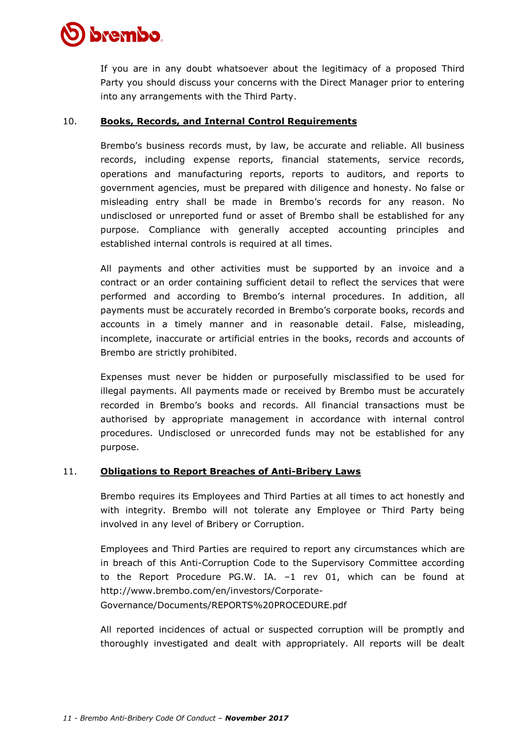# brembo

If you are in any doubt whatsoever about the legitimacy of a proposed Third Party you should discuss your concerns with the Direct Manager prior to entering into any arrangements with the Third Party.

## 10. **Books, Records, and Internal Control Requirements**

Brembo's business records must, by law, be accurate and reliable. All business records, including expense reports, financial statements, service records, operations and manufacturing reports, reports to auditors, and reports to government agencies, must be prepared with diligence and honesty. No false or misleading entry shall be made in Brembo's records for any reason. No undisclosed or unreported fund or asset of Brembo shall be established for any purpose. Compliance with generally accepted accounting principles and established internal controls is required at all times.

All payments and other activities must be supported by an invoice and a contract or an order containing sufficient detail to reflect the services that were performed and according to Brembo's internal procedures. In addition, all payments must be accurately recorded in Brembo's corporate books, records and accounts in a timely manner and in reasonable detail. False, misleading, incomplete, inaccurate or artificial entries in the books, records and accounts of Brembo are strictly prohibited.

Expenses must never be hidden or purposefully misclassified to be used for illegal payments. All payments made or received by Brembo must be accurately recorded in Brembo's books and records. All financial transactions must be authorised by appropriate management in accordance with internal control procedures. Undisclosed or unrecorded funds may not be established for any purpose.

## 11. **Obligations to Report Breaches of Anti-Bribery Laws**

Brembo requires its Employees and Third Parties at all times to act honestly and with integrity. Brembo will not tolerate any Employee or Third Party being involved in any level of Bribery or Corruption.

Employees and Third Parties are required to report any circumstances which are in breach of this Anti-Corruption Code to the Supervisory Committee according to the Report Procedure PG.W. IA. –1 rev 01, which can be found at http://www.brembo.com/en/investors/Corporate-Governance/Documents/REPORTS%20PROCEDURE.pdf

All reported incidences of actual or suspected corruption will be promptly and thoroughly investigated and dealt with appropriately. All reports will be dealt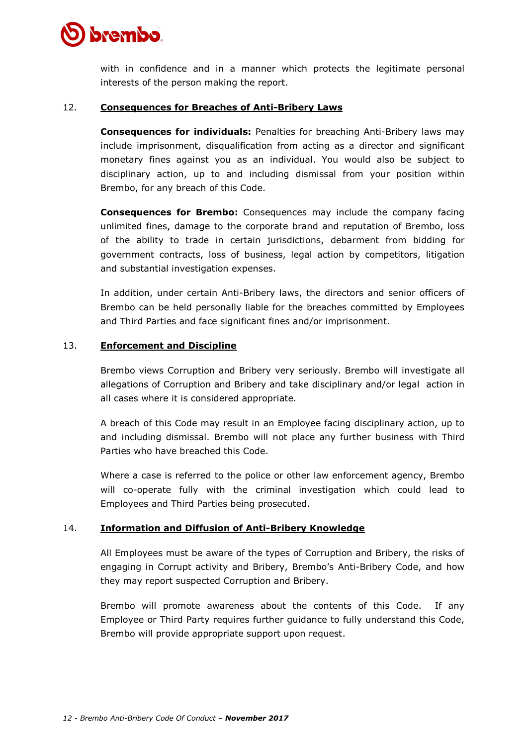# brembo

with in confidence and in a manner which protects the legitimate personal interests of the person making the report.

## 12. **Consequences for Breaches of Anti-Bribery Laws**

**Consequences for individuals:** Penalties for breaching Anti-Bribery laws may include imprisonment, disqualification from acting as a director and significant monetary fines against you as an individual. You would also be subject to disciplinary action, up to and including dismissal from your position within Brembo, for any breach of this Code.

**Consequences for Brembo:** Consequences may include the company facing unlimited fines, damage to the corporate brand and reputation of Brembo, loss of the ability to trade in certain jurisdictions, debarment from bidding for government contracts, loss of business, legal action by competitors, litigation and substantial investigation expenses.

In addition, under certain Anti-Bribery laws, the directors and senior officers of Brembo can be held personally liable for the breaches committed by Employees and Third Parties and face significant fines and/or imprisonment.

## 13. **Enforcement and Discipline**

Brembo views Corruption and Bribery very seriously. Brembo will investigate all allegations of Corruption and Bribery and take disciplinary and/or legal action in all cases where it is considered appropriate.

A breach of this Code may result in an Employee facing disciplinary action, up to and including dismissal. Brembo will not place any further business with Third Parties who have breached this Code.

Where a case is referred to the police or other law enforcement agency, Brembo will co-operate fully with the criminal investigation which could lead to Employees and Third Parties being prosecuted.

## 14. **Information and Diffusion of Anti-Bribery Knowledge**

All Employees must be aware of the types of Corruption and Bribery, the risks of engaging in Corrupt activity and Bribery, Brembo's Anti-Bribery Code, and how they may report suspected Corruption and Bribery.

Brembo will promote awareness about the contents of this Code. If any Employee or Third Party requires further guidance to fully understand this Code, Brembo will provide appropriate support upon request.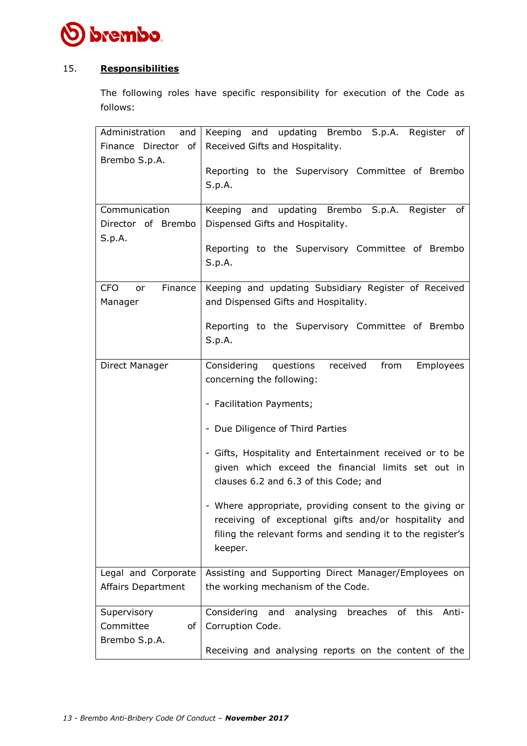

## 15. **Responsibilities**

The following roles have specific responsibility for execution of the Code as follows:

| Administration<br>and $\vert$ | Keeping and updating Brembo S.p.A. Register of                     |
|-------------------------------|--------------------------------------------------------------------|
| Finance Director of           | Received Gifts and Hospitality.                                    |
| Brembo S.p.A.                 |                                                                    |
|                               | Reporting to the Supervisory Committee of Brembo                   |
|                               | S.p.A.                                                             |
|                               |                                                                    |
| Communication                 | Keeping and updating Brembo S.p.A. Register of                     |
| Director of Brembo            | Dispensed Gifts and Hospitality.                                   |
| S.p.A.                        |                                                                    |
|                               | Reporting to the Supervisory Committee of Brembo                   |
|                               | S.p.A.                                                             |
|                               |                                                                    |
| <b>CFO</b><br>Finance<br>or   | Keeping and updating Subsidiary Register of Received               |
| Manager                       | and Dispensed Gifts and Hospitality.                               |
|                               |                                                                    |
|                               | Reporting to the Supervisory Committee of Brembo                   |
|                               | S.p.A.                                                             |
| Direct Manager                | received<br>Considering<br>questions<br>from<br>Employees          |
|                               | concerning the following:                                          |
|                               |                                                                    |
|                               | - Facilitation Payments;                                           |
|                               | - Due Diligence of Third Parties                                   |
|                               |                                                                    |
|                               | - Gifts, Hospitality and Entertainment received or to be           |
|                               | given which exceed the financial limits set out in                 |
|                               | clauses 6.2 and 6.3 of this Code; and                              |
|                               | - Where appropriate, providing consent to the giving or            |
|                               | receiving of exceptional gifts and/or hospitality and              |
|                               | filing the relevant forms and sending it to the register's         |
|                               |                                                                    |
|                               | keeper.                                                            |
| Legal and Corporate           | Assisting and Supporting Direct Manager/Employees on               |
| <b>Affairs Department</b>     | the working mechanism of the Code.                                 |
|                               |                                                                    |
| Supervisory                   | breaches<br>Considering<br>analysing<br>of<br>this<br>and<br>Anti- |
| Committee<br>of               | Corruption Code.                                                   |
| Brembo S.p.A.                 |                                                                    |
|                               | Receiving and analysing reports on the content of the              |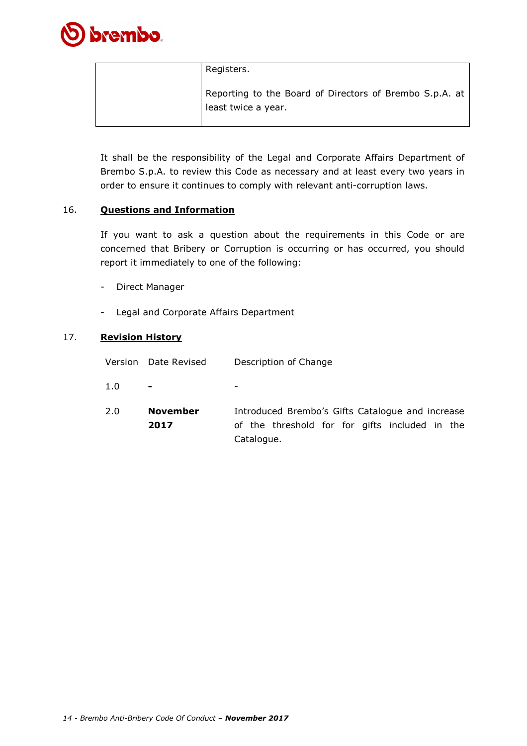

| Registers.                                                                     |
|--------------------------------------------------------------------------------|
| Reporting to the Board of Directors of Brembo S.p.A. at<br>least twice a year. |

It shall be the responsibility of the Legal and Corporate Affairs Department of Brembo S.p.A. to review this Code as necessary and at least every two years in order to ensure it continues to comply with relevant anti-corruption laws.

### 16. **Questions and Information**

If you want to ask a question about the requirements in this Code or are concerned that Bribery or Corruption is occurring or has occurred, you should report it immediately to one of the following:

- Direct Manager
- Legal and Corporate Affairs Department

### 17. **Revision History**

|  | Version Date Revised | Description of Change |  |
|--|----------------------|-----------------------|--|
|--|----------------------|-----------------------|--|

-

- 1.0 **-**
- 2.0 **November 2017** Introduced Brembo's Gifts Catalogue and increase of the threshold for for gifts included in the Catalogue.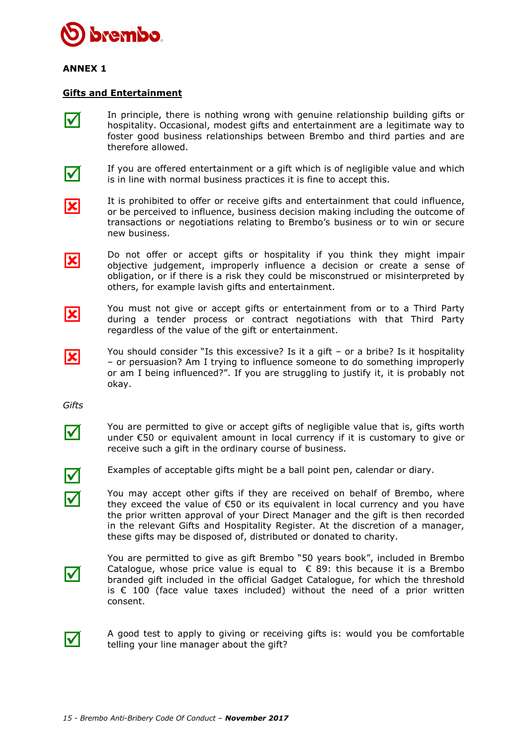

## **ANNEX 1**

#### **Gifts and Entertainment**

In principle, there is nothing wrong with genuine relationship building gifts or hospitality. Occasional, modest gifts and entertainment are a legitimate way to foster good business relationships between Brembo and third parties and are therefore allowed.

IМ

 $\mathsf{I}\mathcal{N}$ 

If you are offered entertainment or a gift which is of negligible value and which is in line with normal business practices it is fine to accept this.

K

IХ

 $|\mathbf{x}|$ 

K

It is prohibited to offer or receive gifts and entertainment that could influence, or be perceived to influence, business decision making including the outcome of transactions or negotiations relating to Brembo's business or to win or secure new business.

Do not offer or accept gifts or hospitality if you think they might impair objective judgement, improperly influence a decision or create a sense of obligation, or if there is a risk they could be misconstrued or misinterpreted by others, for example lavish gifts and entertainment.

You must not give or accept gifts or entertainment from or to a Third Party during a tender process or contract negotiations with that Third Party regardless of the value of the gift or entertainment.

You should consider "Is this excessive? Is it a gift – or a bribe? Is it hospitality – or persuasion? Am I trying to influence someone to do something improperly or am I being influenced?". If you are struggling to justify it, it is probably not okay.

*Gifts*



You are permitted to give or accept gifts of negligible value that is, gifts worth under €50 or equivalent amount in local currency if it is customary to give or receive such a gift in the ordinary course of business.



Examples of acceptable gifts might be a ball point pen, calendar or diary.

You may accept other gifts if they are received on behalf of Brembo, where they exceed the value of  $\epsilon$ 50 or its equivalent in local currency and you have the prior written approval of your Direct Manager and the gift is then recorded in the relevant Gifts and Hospitality Register. At the discretion of a manager, these gifts may be disposed of, distributed or donated to charity.



You are permitted to give as gift Brembo "50 years book", included in Brembo Catalogue, whose price value is equal to  $\epsilon$  89: this because it is a Brembo branded gift included in the official Gadget Catalogue, for which the threshold is  $€$  100 (face value taxes included) without the need of a prior written consent.



A good test to apply to giving or receiving gifts is: would you be comfortable telling your line manager about the gift?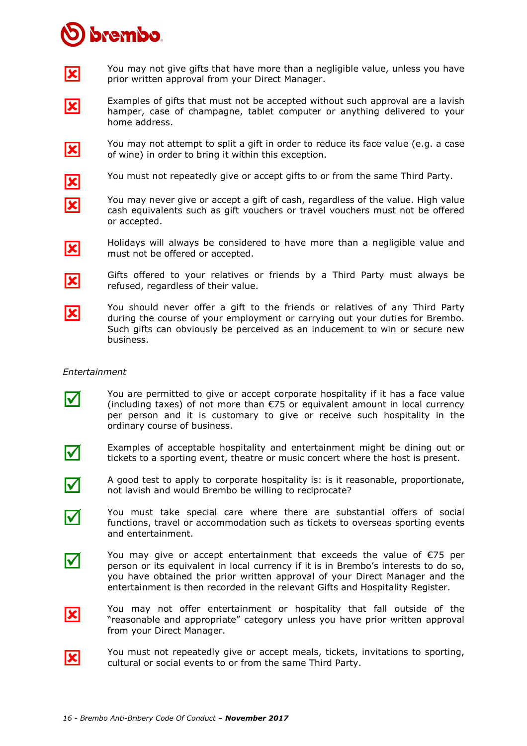# **brembo**

lх

|X|

lx

lxl

IХ

IХ

 $\blacktriangledown$ 

 $\blacktriangledown$ 

I√

You may not give gifts that have more than a negligible value, unless you have prior written approval from your Direct Manager.

- K Examples of gifts that must not be accepted without such approval are a lavish hamper, case of champagne, tablet computer or anything delivered to your home address.
	- You may not attempt to split a gift in order to reduce its face value (e.g. a case of wine) in order to bring it within this exception.
		- You must not repeatedly give or accept gifts to or from the same Third Party.
		- You may never give or accept a gift of cash, regardless of the value. High value cash equivalents such as gift vouchers or travel vouchers must not be offered or accepted.
	- Holidays will always be considered to have more than a negligible value and must not be offered or accepted.
		- Gifts offered to your relatives or friends by a Third Party must always be refused, regardless of their value.
- $\vert\mathbf{x}\vert$ You should never offer a gift to the friends or relatives of any Third Party during the course of your employment or carrying out your duties for Brembo. Such gifts can obviously be perceived as an inducement to win or secure new business.

## *Entertainment*

- You are permitted to give or accept corporate hospitality if it has a face value (including taxes) of not more than €75 or equivalent amount in local currency per person and it is customary to give or receive such hospitality in the ordinary course of business.
- Examples of acceptable hospitality and entertainment might be dining out or tickets to a sporting event, theatre or music concert where the host is present.
- A good test to apply to corporate hospitality is: is it reasonable, proportionate, not lavish and would Brembo be willing to reciprocate?
- **V** You must take special care where there are substantial offers of social functions, travel or accommodation such as tickets to overseas sporting events and entertainment.
- I√ You may give or accept entertainment that exceeds the value of  $E$ 75 per person or its equivalent in local currency if it is in Brembo's interests to do so, you have obtained the prior written approval of your Direct Manager and the entertainment is then recorded in the relevant Gifts and Hospitality Register.
- lxl You may not offer entertainment or hospitality that fall outside of the "reasonable and appropriate" category unless you have prior written approval from your Direct Manager.
- $\overline{\mathbf{x}}$

You must not repeatedly give or accept meals, tickets, invitations to sporting, cultural or social events to or from the same Third Party.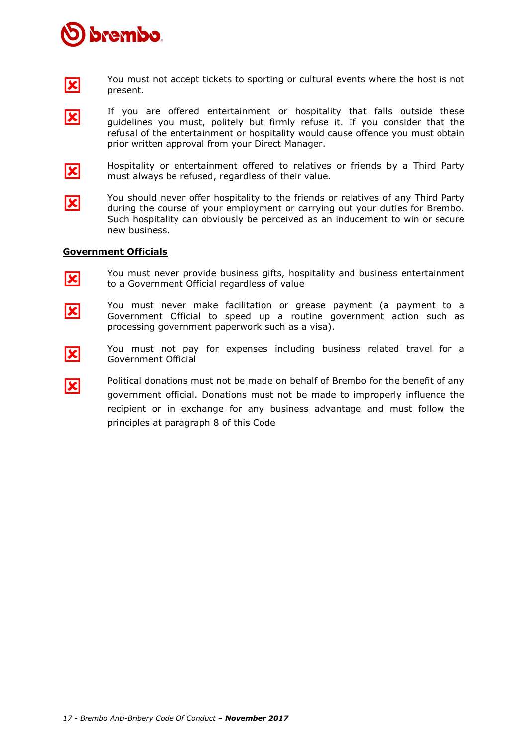



⊠

You must not accept tickets to sporting or cultural events where the host is not present.

- If you are offered entertainment or hospitality that falls outside these guidelines you must, politely but firmly refuse it. If you consider that the refusal of the entertainment or hospitality would cause offence you must obtain prior written approval from your Direct Manager.
- IХ

Hospitality or entertainment offered to relatives or friends by a Third Party must always be refused, regardless of their value.

IХ You should never offer hospitality to the friends or relatives of any Third Party during the course of your employment or carrying out your duties for Brembo. Such hospitality can obviously be perceived as an inducement to win or secure new business.

#### **Government Officials**

K

You must never provide business gifts, hospitality and business entertainment to a Government Official regardless of value

- IХ You must never make facilitation or grease payment (a payment to a Government Official to speed up a routine government action such as processing government paperwork such as a visa).
- lxl

K

You must not pay for expenses including business related travel for a Government Official

Political donations must not be made on behalf of Brembo for the benefit of any government official. Donations must not be made to improperly influence the recipient or in exchange for any business advantage and must follow the principles at paragraph 8 of this Code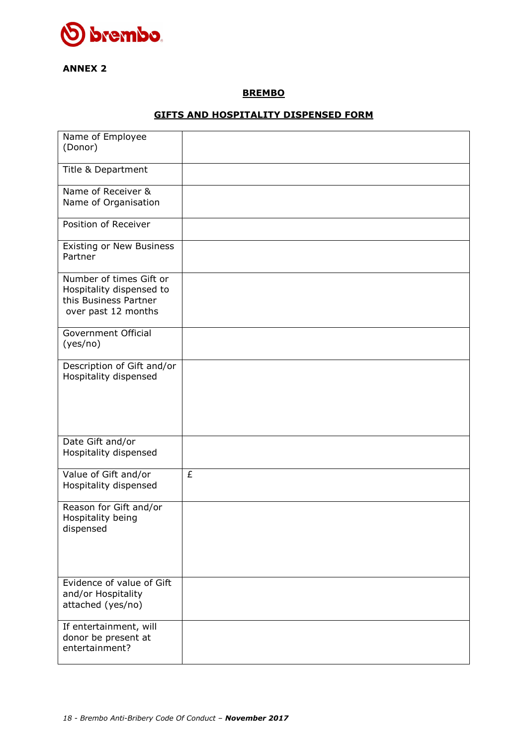

## **ANNEX 2**

### **BREMBO**

## **GIFTS AND HOSPITALITY DISPENSED FORM**

| Name of Employee<br>(Donor)                                                                         |   |
|-----------------------------------------------------------------------------------------------------|---|
| Title & Department                                                                                  |   |
| Name of Receiver &<br>Name of Organisation                                                          |   |
| Position of Receiver                                                                                |   |
| Existing or New Business<br>Partner                                                                 |   |
| Number of times Gift or<br>Hospitality dispensed to<br>this Business Partner<br>over past 12 months |   |
| Government Official<br>(yes/no)                                                                     |   |
| Description of Gift and/or<br>Hospitality dispensed                                                 |   |
| Date Gift and/or<br>Hospitality dispensed                                                           |   |
| Value of Gift and/or<br>Hospitality dispensed                                                       | £ |
| Reason for Gift and/or<br>Hospitality being<br>dispensed                                            |   |
| Evidence of value of Gift<br>and/or Hospitality<br>attached (yes/no)                                |   |
| If entertainment, will<br>donor be present at<br>entertainment?                                     |   |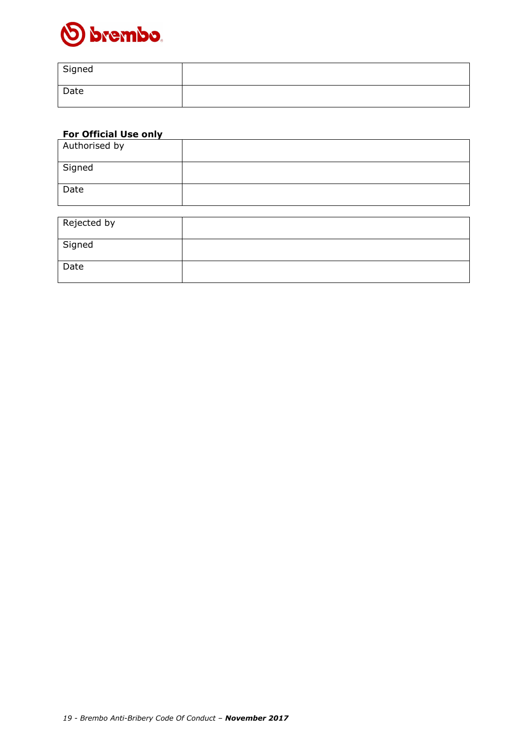

| Signed |  |
|--------|--|
| Date   |  |

## **For Official Use only**

| Authorised by |  |
|---------------|--|
| Signed        |  |
| Date          |  |

| Rejected by |  |
|-------------|--|
| Signed      |  |
| Date        |  |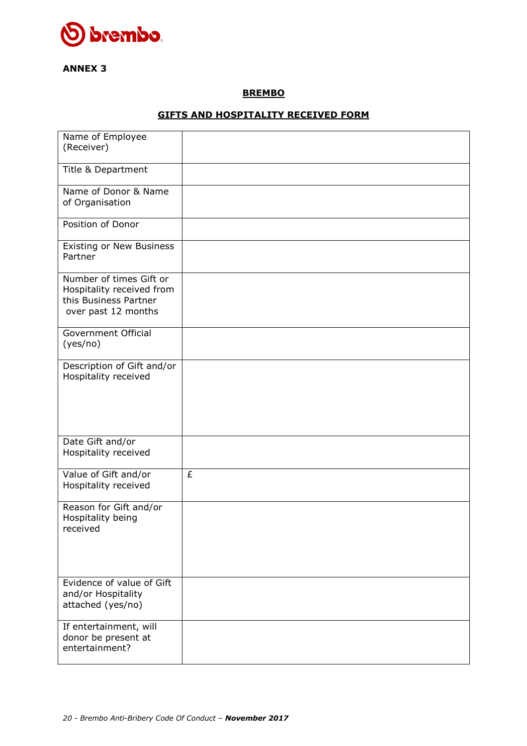

## **ANNEX 3**

### **BREMBO**

## **GIFTS AND HOSPITALITY RECEIVED FORM**

| Name of Employee                                                                                     |   |
|------------------------------------------------------------------------------------------------------|---|
| (Receiver)                                                                                           |   |
| Title & Department                                                                                   |   |
| Name of Donor & Name<br>of Organisation                                                              |   |
| Position of Donor                                                                                    |   |
| Existing or New Business<br>Partner                                                                  |   |
| Number of times Gift or<br>Hospitality received from<br>this Business Partner<br>over past 12 months |   |
| Government Official<br>(yes/no)                                                                      |   |
| Description of Gift and/or<br>Hospitality received                                                   |   |
|                                                                                                      |   |
| Date Gift and/or<br>Hospitality received                                                             |   |
| Value of Gift and/or<br>Hospitality received                                                         | £ |
| Reason for Gift and/or<br>Hospitality being<br>received                                              |   |
| Evidence of value of Gift                                                                            |   |
| and/or Hospitality<br>attached (yes/no)                                                              |   |
| If entertainment, will<br>donor be present at<br>entertainment?                                      |   |